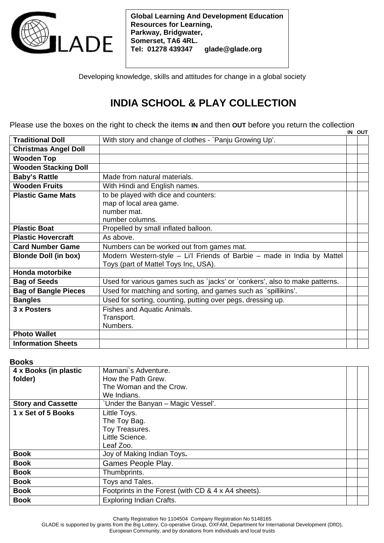

**Global Learning And Development Education Resources for Learning, Parkway, Bridgwater, Somerset, TA6 4RL. Tel: 01278 439347 glade@glade.org** 

Developing knowledge, skills and attitudes for change in a global society

# **INDIA SCHOOL & PLAY COLLECTION**

Please use the boxes on the right to check the items **IN** and then **OUT** before you return the collection **IN OUT** 

|                             |                                                                             | <u>uu</u> |
|-----------------------------|-----------------------------------------------------------------------------|-----------|
| <b>Traditional Doll</b>     | With story and change of clothes - `Panju Growing Up'.                      |           |
| <b>Christmas Angel Doll</b> |                                                                             |           |
| <b>Wooden Top</b>           |                                                                             |           |
| <b>Wooden Stacking Doll</b> |                                                                             |           |
| <b>Baby's Rattle</b>        | Made from natural materials.                                                |           |
| <b>Wooden Fruits</b>        | With Hindi and English names.                                               |           |
| <b>Plastic Game Mats</b>    | to be played with dice and counters:                                        |           |
|                             | map of local area game.                                                     |           |
|                             | number mat.                                                                 |           |
|                             | number columns.                                                             |           |
| <b>Plastic Boat</b>         | Propelled by small inflated balloon.                                        |           |
| <b>Plastic Hovercraft</b>   | As above.                                                                   |           |
| <b>Card Number Game</b>     | Numbers can be worked out from games mat.                                   |           |
| <b>Blonde Doll (in box)</b> | Modern Western-style - Li'l Friends of Barbie - made in India by Mattel     |           |
|                             | Toys (part of Mattel Toys Inc, USA).                                        |           |
| <b>Honda motorbike</b>      |                                                                             |           |
| <b>Bag of Seeds</b>         | Used for various games such as 'jacks' or 'conkers', also to make patterns. |           |
| <b>Bag of Bangle Pieces</b> | Used for matching and sorting, and games such as `spillikins'.              |           |
| <b>Bangles</b>              | Used for sorting, counting, putting over pegs, dressing up.                 |           |
| 3 x Posters                 | Fishes and Aquatic Animals.                                                 |           |
|                             | Transport.                                                                  |           |
|                             | Numbers.                                                                    |           |
| <b>Photo Wallet</b>         |                                                                             |           |
| <b>Information Sheets</b>   |                                                                             |           |

### **Books**

| 4 x Books (in plastic     | Mamani's Adventure.                                 |  |
|---------------------------|-----------------------------------------------------|--|
| folder)                   | How the Path Grew.                                  |  |
|                           | The Woman and the Crow.                             |  |
|                           | We Indians.                                         |  |
| <b>Story and Cassette</b> | 'Under the Banyan - Magic Vessel'.                  |  |
| 1 x Set of 5 Books        | Little Toys.                                        |  |
|                           | The Toy Bag.                                        |  |
|                           | Toy Treasures.                                      |  |
|                           | Little Science.                                     |  |
|                           | Leaf Zoo.                                           |  |
| <b>Book</b>               | Joy of Making Indian Toys.                          |  |
| <b>Book</b>               | Games People Play.                                  |  |
| <b>Book</b>               | Thumbprints.                                        |  |
| <b>Book</b>               | Toys and Tales.                                     |  |
| <b>Book</b>               | Footprints in the Forest (with CD & 4 x A4 sheets). |  |
| <b>Book</b>               | <b>Exploring Indian Crafts.</b>                     |  |

Charity Registration No 1104504 Company Registration No 5148165

GLADE is supported by grants from the Big Lottery, Co-operative Group, OXFAM, Department for International Development (DfID),

European Community, and by donations from individuals and local trusts